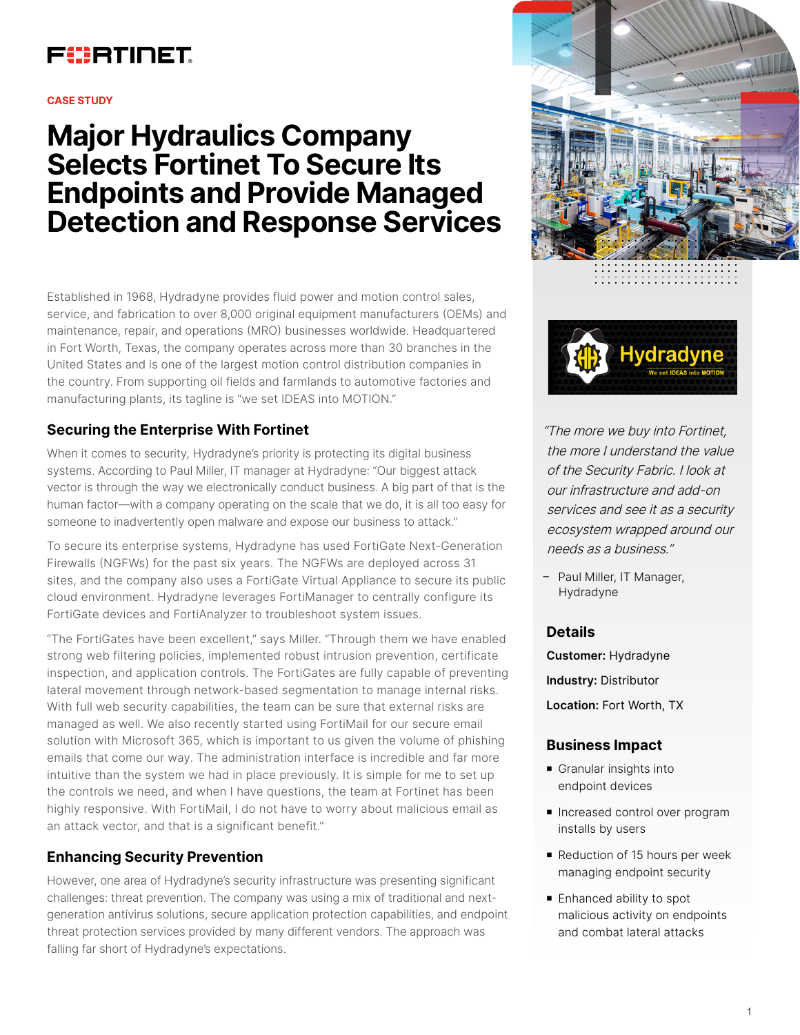

#### **CASE STUDY**

# **Major Hydraulics Company Selects Fortinet To Secure Its Endpoints and Provide Managed Detection and Response Services**

Established in 1968, Hydradyne provides fluid power and motion control sales, service, and fabrication to over 8,000 original equipment manufacturers (OEMs) and maintenance, repair, and operations (MRO) businesses worldwide. Headquartered in Fort Worth, Texas, the company operates across more than 30 branches in the United States and is one of the largest motion control distribution companies in the country. From supporting oil fields and farmlands to automotive factories and manufacturing plants, its tagline is "we set IDEAS into MOTION."

# **Securing the Enterprise With Fortinet**

When it comes to security, Hydradyne's priority is protecting its digital business systems. According to Paul Miller, IT manager at Hydradyne: "Our biggest attack vector is through the way we electronically conduct business. A big part of that is the human factor—with a company operating on the scale that we do, it is all too easy for someone to inadvertently open malware and expose our business to attack."

To secure its enterprise systems, Hydradyne has used FortiGate Next-Generation Firewalls (NGFWs) for the past six years. The NGFWs are deployed across 31 sites, and the company also uses a FortiGate Virtual Appliance to secure its public cloud environment. Hydradyne leverages FortiManager to centrally configure its FortiGate devices and FortiAnalyzer to troubleshoot system issues.

"The FortiGates have been excellent," says Miller. "Through them we have enabled strong web filtering policies, implemented robust intrusion prevention, certificate inspection, and application controls. The FortiGates are fully capable of preventing lateral movement through network-based segmentation to manage internal risks. With full web security capabilities, the team can be sure that external risks are managed as well. We also recently started using FortiMail for our secure email solution with Microsoft 365, which is important to us given the volume of phishing emails that come our way. The administration interface is incredible and far more intuitive than the system we had in place previously. It is simple for me to set up the controls we need, and when I have questions, the team at Fortinet has been highly responsive. With FortiMail, I do not have to worry about malicious email as an attack vector, and that is a significant benefit."

## **Enhancing Security Prevention**

However, one area of Hydradyne's security infrastructure was presenting significant challenges: threat prevention. The company was using a mix of traditional and nextgeneration antivirus solutions, secure application protection capabilities, and endpoint threat protection services provided by many different vendors. The approach was falling far short of Hydradyne's expectations.





"The more we buy into Fortinet, the more I understand the value of the Security Fabric. I look at our infrastructure and add-on services and see it as a security ecosystem wrapped around our needs as a business."

– Paul Miller, IT Manager, Hydradyne

## **Details**

**Customer:** Hydradyne **Industry:** Distributor **Location:** Fort Worth, TX

## **Business Impact**

- Granular insights into endpoint devices
- **n** Increased control over program installs by users
- Reduction of 15 hours per week managing endpoint security
- **Enhanced ability to spot** malicious activity on endpoints and combat lateral attacks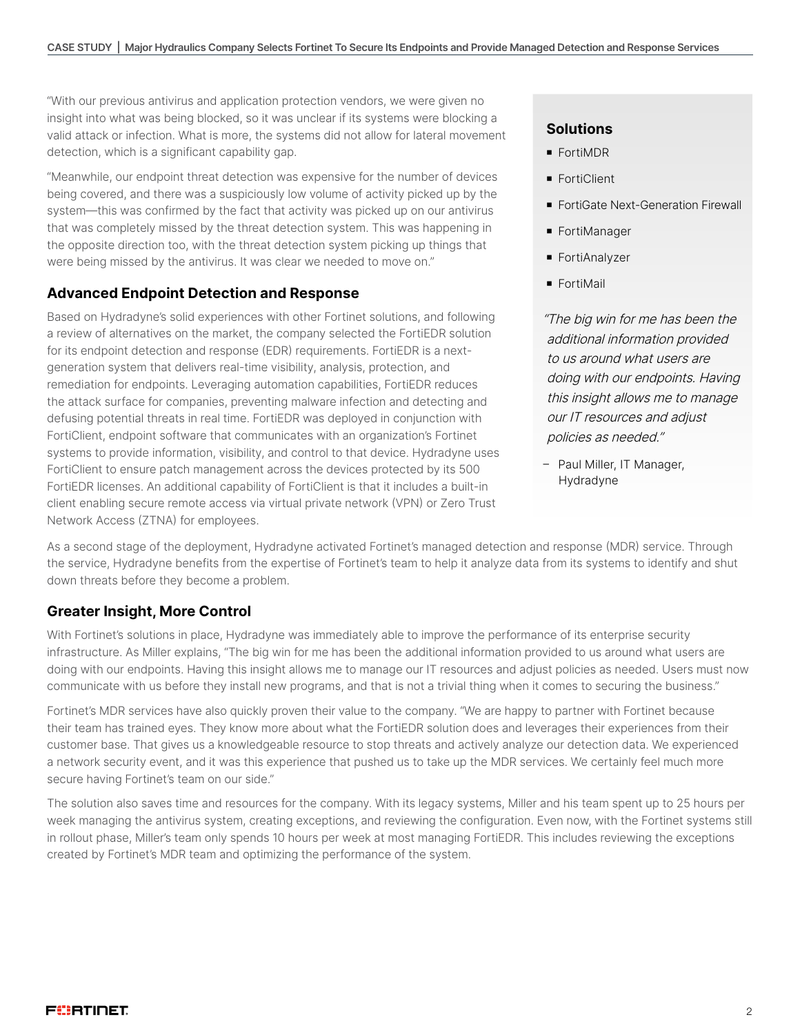"With our previous antivirus and application protection vendors, we were given no insight into what was being blocked, so it was unclear if its systems were blocking a valid attack or infection. What is more, the systems did not allow for lateral movement detection, which is a significant capability gap.

"Meanwhile, our endpoint threat detection was expensive for the number of devices being covered, and there was a suspiciously low volume of activity picked up by the system—this was confirmed by the fact that activity was picked up on our antivirus that was completely missed by the threat detection system. This was happening in the opposite direction too, with the threat detection system picking up things that were being missed by the antivirus. It was clear we needed to move on."

#### **Advanced Endpoint Detection and Response**

Based on Hydradyne's solid experiences with other Fortinet solutions, and following a review of alternatives on the market, the company selected the FortiEDR solution for its endpoint detection and response (EDR) requirements. FortiEDR is a nextgeneration system that delivers real-time visibility, analysis, protection, and remediation for endpoints. Leveraging automation capabilities, FortiEDR reduces the attack surface for companies, preventing malware infection and detecting and defusing potential threats in real time. FortiEDR was deployed in conjunction with FortiClient, endpoint software that communicates with an organization's Fortinet systems to provide information, visibility, and control to that device. Hydradyne uses FortiClient to ensure patch management across the devices protected by its 500 FortiEDR licenses. An additional capability of FortiClient is that it includes a built-in client enabling secure remote access via virtual private network (VPN) or Zero Trust Network Access (ZTNA) for employees.

# **Solutions**

- **FortiMDR**
- **FortiClient**
- FortiGate Next-Generation Firewall
- FortiManager
- FortiAnalyzer
- **FortiMail**

"The big win for me has been the additional information provided to us around what users are doing with our endpoints. Having this insight allows me to manage our IT resources and adjust policies as needed."

– Paul Miller, IT Manager, Hydradyne

As a second stage of the deployment, Hydradyne activated Fortinet's managed detection and response (MDR) service. Through the service, Hydradyne benefits from the expertise of Fortinet's team to help it analyze data from its systems to identify and shut down threats before they become a problem.

#### **Greater Insight, More Control**

With Fortinet's solutions in place, Hydradyne was immediately able to improve the performance of its enterprise security infrastructure. As Miller explains, "The big win for me has been the additional information provided to us around what users are doing with our endpoints. Having this insight allows me to manage our IT resources and adjust policies as needed. Users must now communicate with us before they install new programs, and that is not a trivial thing when it comes to securing the business."

Fortinet's MDR services have also quickly proven their value to the company. "We are happy to partner with Fortinet because their team has trained eyes. They know more about what the FortiEDR solution does and leverages their experiences from their customer base. That gives us a knowledgeable resource to stop threats and actively analyze our detection data. We experienced a network security event, and it was this experience that pushed us to take up the MDR services. We certainly feel much more secure having Fortinet's team on our side."

The solution also saves time and resources for the company. With its legacy systems, Miller and his team spent up to 25 hours per week managing the antivirus system, creating exceptions, and reviewing the configuration. Even now, with the Fortinet systems still in rollout phase, Miller's team only spends 10 hours per week at most managing FortiEDR. This includes reviewing the exceptions created by Fortinet's MDR team and optimizing the performance of the system.